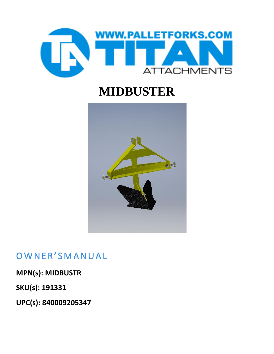

## **MIDBUSTER**



### OWNER'SMANUAL

**MPN(s): MIDBUSTR**

**SKU(s): 191331**

**UPC(s): 840009205347**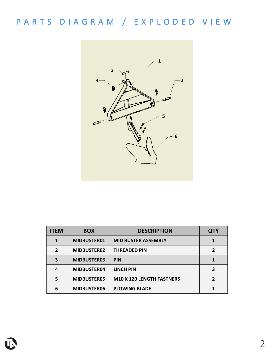## P A R T S D I A G R A M / E X P L O D E D V I E W



| <b>ITEM</b>  | <b>BOX</b>  | <b>DESCRIPTION</b>               | <b>QTY</b>     |
|--------------|-------------|----------------------------------|----------------|
| 1            | MIDBUSTER01 | <b>MID BUSTER ASSEMBLY</b>       |                |
| $\mathbf{2}$ | MIDBUSTER02 | <b>THREADED PIN</b>              | $\overline{2}$ |
| 3            | MIDBUSTER03 | <b>PIN</b>                       |                |
| 4            | MIDBUSTER04 | <b>LINCH PIN</b>                 | 3              |
| 5            | MIDBUSTER05 | <b>M10 X 120 LENGTH FASTNERS</b> | $\overline{2}$ |
| 6            | MIDBUSTER06 | <b>PLOWING BLADE</b>             |                |

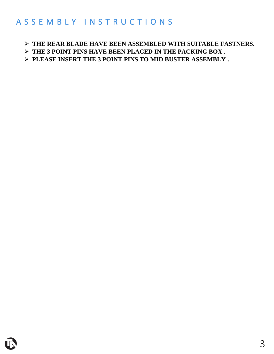➢ **THE REAR BLADE HAVE BEEN ASSEMBLED WITH SUITABLE FASTNERS.**

➢ **THE 3 POINT PINS HAVE BEEN PLACED IN THE PACKING BOX .**

➢ **PLEASE INSERT THE 3 POINT PINS TO MID BUSTER ASSEMBLY .**